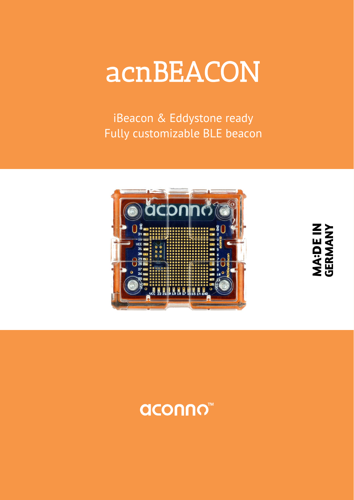# acnBEACON

iBeacon & Eddystone ready Fully customizable BLE beacon



**MA:DE IN<br>GERMANY** 

## **aconno™**